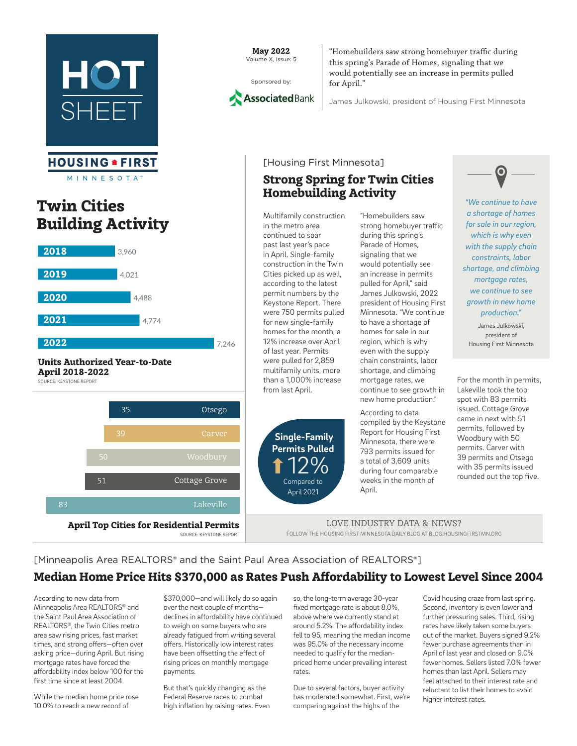

#### **HOUSING . FIRST** M I N N E S O T A

## Twin Cities Building Activity



#### Units Authorized Year-to-Date April 2018-2022 SOURCE: KEYSTONE REPORT



May 2022 Volume X, Issue: 5





"Homebuilders saw strong homebuyer traffic during this spring's Parade of Homes, signaling that we The operator of contains of contains, eigening and the would potentially see an increase in permits pulled for April."

James Julkowski, president of Housing First Minnesota

#### [Housing First Minnesota]

#### $\parallel$  – Homebuilding Activity Strong Spring for Twin Cities

Multifamily construction in the metro area continued to soar past last year's pace in April. Single-family  $\log \frac{1}{\pi}$  construction in the Twin Cities picked up as well, according to the latest permit numbers by the Keystone Report. There were 750 permits pulled for new single-family homes for the month, a 12% increase over April of last year. Permits were pulled for 2,859 multifamily units, more than a 1,000% increase from last April.



"Homebuilders saw strong homebuyer traffic during this spring's Parade of Homes, signaling that we would potentially see an increase in permits pulled for April," said James Julkowski, 2022 president of Housing First Minnesota. "We continue to have a shortage of homes for sale in our region, which is why even with the supply chain constraints, labor shortage, and climbing mortgage rates, we continue to see growth in new home production."

According to data compiled by the Keystone Report for Housing First Minnesota, there were 793 permits issued for a total of 3,609 units during four comparable weeks in the month of April.



*"We continue to have a shortage of homes for sale in our region, which is why even with the supply chain constraints, labor shortage, and climbing mortgage rates, we continue to see growth in new home production."*

James Julkowski, president of Housing First Minnesota

For the month in permits, Lakeville took the top spot with 83 permits issued. Cottage Grove came in next with 51 permits, followed by Woodbury with 50 permits. Carver with 39 permits and Otsego with 35 permits issued rounded out the top five.

LOVE INDUSTRY DATA & NEWS? FOLLOW THE HOUSING FIRST MINNESOTA DAILY BLOG AT BLOG.HOUSINGFIRSTMN.ORG

#### [Minneapolis Area REALTORS® and the Saint Paul Area Association of REALTORS®] Median Home Price Hits \$370,000 as Rates Push Affordability to Lowest Level Since 2004

According to new data from Minneapolis Area REALTORS® and the Saint Paul Area Association of REALTORS®, the Twin Cities metro area saw rising prices, fast market times, and strong offers—often over asking price—during April. But rising mortgage rates have forced the affordability index below 100 for the first time since at least 2004.

While the median home price rose 10.0% to reach a new record of

\$370,000—and will likely do so again over the next couple of months declines in affordability have continued to weigh on some buyers who are already fatigued from writing several offers. Historically low interest rates have been offsetting the effect of rising prices on monthly mortgage payments.

But that's quickly changing as the Federal Reserve races to combat high inflation by raising rates. Even

so, the long-term average 30-year fixed mortgage rate is about 8.0%, above where we currently stand at around 5.2%. The affordability index fell to 95, meaning the median income was 95.0% of the necessary income needed to qualify for the medianpriced home under prevailing interest rates.

Due to several factors, buyer activity has moderated somewhat. First, we're comparing against the highs of the

Covid housing craze from last spring. Second, inventory is even lower and further pressuring sales. Third, rising rates have likely taken some buyers out of the market. Buyers signed 9.2% fewer purchase agreements than in April of last year and closed on 9.0% fewer homes. Sellers listed 7.0% fewer homes than last April. Sellers may feel attached to their interest rate and reluctant to list their homes to avoid higher interest rates.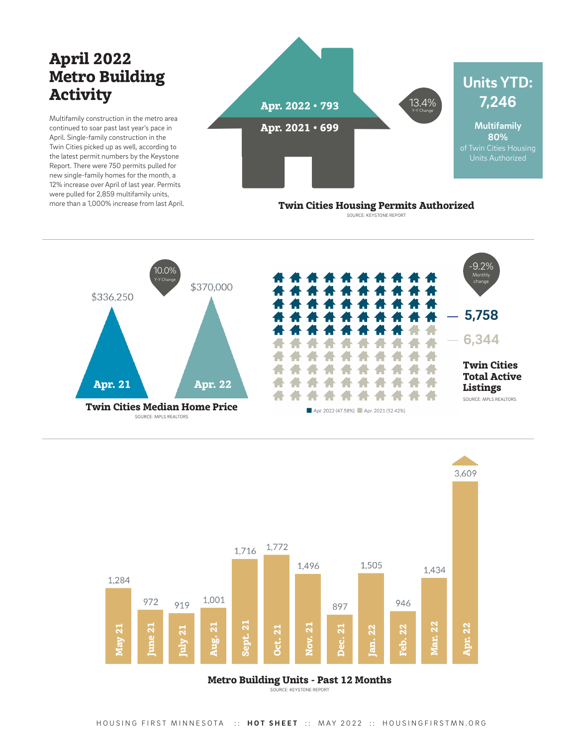# April 2022 Metro Building **Activity**

Multifamily construction in the metro area continued to soar past last year's pace in April. Single-family construction in the Twin Cities picked up as well, according to the latest permit numbers by the Keystone Report. There were 750 permits pulled for new single-family homes for the month, a 12% increase over April of last year. Permits were pulled for 2,859 multifamily units, more than a 1,000% increase from last April.



Twin Cities Housing Permits Authorized SOURCE: KEYSTONE REPORT



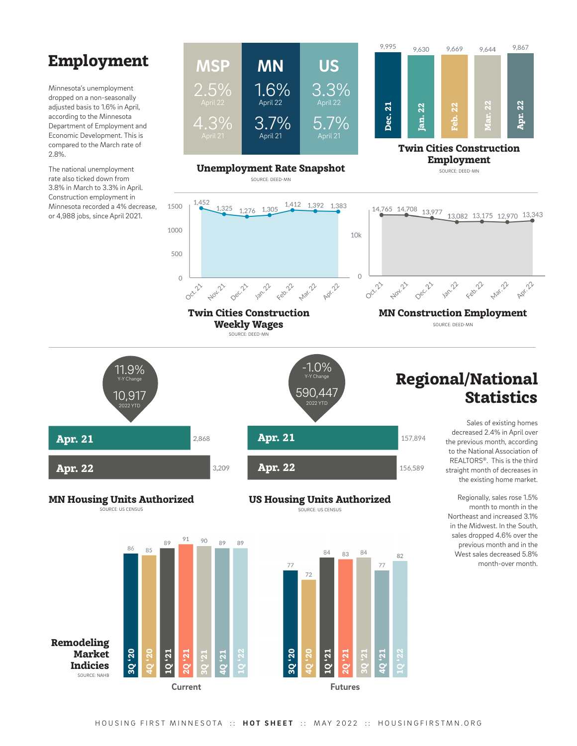## Employment

Minnesota's unemployment dropped on a non-seasonally adjusted basis to 1.6% in April, according to the Minnesota Department of Employment and Economic Development. This is compared to the March rate of 2.8%.

The national unemployment rate also ticked down from 3.8% in March to 3.3% in April. Construction employment in Minnesota recorded a 4% decrease, or 4,988 jobs, since April 2021.



 $\circ$ 

Oct. 21

Nov. 21

Dec.71

157,894

156,589



500

 $\Omega$ 

**Oct.21** 

Twin Cities Construction Weekly Wages SOURCE: DEED-MN

Jan. 22

Feb. 22

**Nov.23** 





## Regional/National **Statistics**

MN Construction Employment SOURCE: DEED-MN

Jan. 22

Feb. 22

**Mari22** 

Apr. 22

Sales of existing homes decreased 2.4% in April over the previous month, according to the National Association of REALTORS®. This is the third straight month of decreases in the existing home market.

Regionally, sales rose 1.5% month to month in the Northeast and increased 3.1% in the Midwest. In the South, sales dropped 4.6% over the previous month and in the West sales decreased 5.8% month-over month.

US Housing Units Authorized SOURCE: US CENSUS

Mar. 22

Agr. 22

1Q '22

82

4Q '21